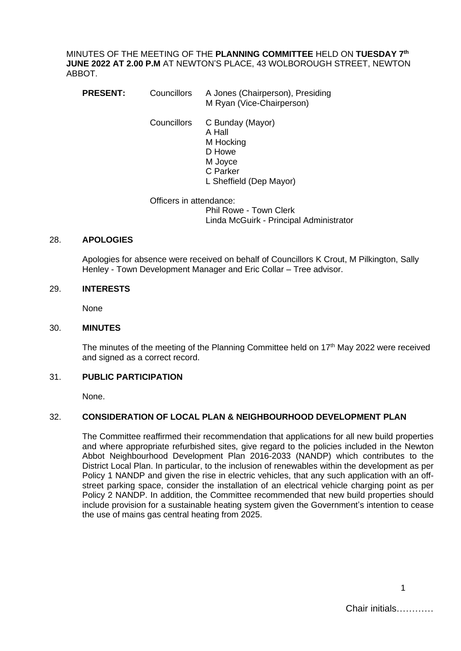MINUTES OF THE MEETING OF THE **PLANNING COMMITTEE** HELD ON **TUESDAY 7 th JUNE 2022 AT 2.00 P.M** AT NEWTON'S PLACE, 43 WOLBOROUGH STREET, NEWTON ABBOT.

- **PRESENT:** Councillors A Jones (Chairperson), Presiding M Ryan (Vice-Chairperson)
	- Councillors C Bunday (Mayor) A Hall M Hocking D Howe M Joyce C Parker L Sheffield (Dep Mayor)

Officers in attendance: Phil Rowe - Town Clerk Linda McGuirk - Principal Administrator

#### 28. **APOLOGIES**

Apologies for absence were received on behalf of Councillors K Crout, M Pilkington, Sally Henley - Town Development Manager and Eric Collar – Tree advisor.

#### 29. **INTERESTS**

None

#### 30. **MINUTES**

The minutes of the meeting of the Planning Committee held on  $17<sup>th</sup>$  May 2022 were received and signed as a correct record.

## 31. **PUBLIC PARTICIPATION**

None.

#### 32. **CONSIDERATION OF LOCAL PLAN & NEIGHBOURHOOD DEVELOPMENT PLAN**

The Committee reaffirmed their recommendation that applications for all new build properties and where appropriate refurbished sites, give regard to the policies included in the Newton Abbot Neighbourhood Development Plan 2016-2033 (NANDP) which contributes to the District Local Plan. In particular, to the inclusion of renewables within the development as per Policy 1 NANDP and given the rise in electric vehicles, that any such application with an offstreet parking space, consider the installation of an electrical vehicle charging point as per Policy 2 NANDP. In addition, the Committee recommended that new build properties should include provision for a sustainable heating system given the Government's intention to cease the use of mains gas central heating from 2025.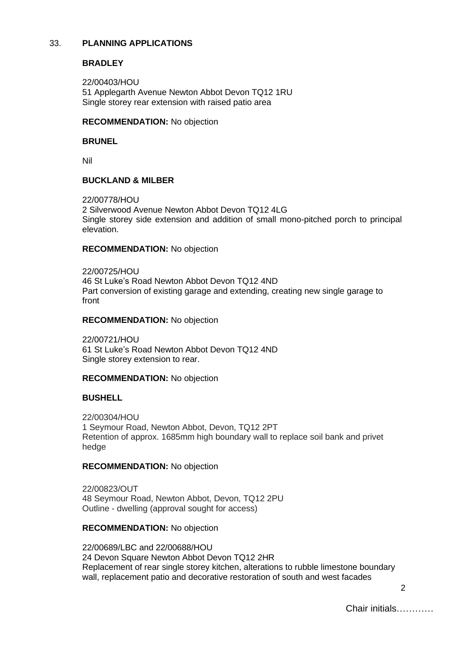# 33. **PLANNING APPLICATIONS**

# **BRADLEY**

22/00403/HOU 51 Applegarth Avenue Newton Abbot Devon TQ12 1RU Single storey rear extension with raised patio area

### **RECOMMENDATION:** No objection

### **BRUNEL**

Nil

### **BUCKLAND & MILBER**

22/00778/HOU 2 Silverwood Avenue Newton Abbot Devon TQ12 4LG Single storey side extension and addition of small mono-pitched porch to principal elevation.

### **RECOMMENDATION:** No objection

22/00725/HOU 46 St Luke's Road Newton Abbot Devon TQ12 4ND Part conversion of existing garage and extending, creating new single garage to front

### **RECOMMENDATION:** No objection

22/00721/HOU 61 St Luke's Road Newton Abbot Devon TQ12 4ND Single storey extension to rear.

## **RECOMMENDATION:** No objection

## **BUSHELL**

22/00304/HOU 1 Seymour Road, Newton Abbot, Devon, TQ12 2PT Retention of approx. 1685mm high boundary wall to replace soil bank and privet hedge

## **RECOMMENDATION:** No objection

22/00823/OUT 48 Seymour Road, Newton Abbot, Devon, TQ12 2PU Outline - dwelling (approval sought for access)

## **RECOMMENDATION:** No objection

22/00689/LBC and 22/00688/HOU 24 Devon Square Newton Abbot Devon TQ12 2HR Replacement of rear single storey kitchen, alterations to rubble limestone boundary wall, replacement patio and decorative restoration of south and west facades

2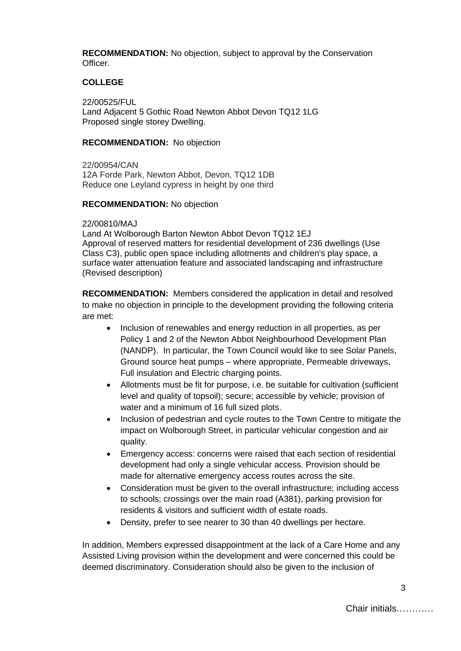**RECOMMENDATION:** No objection, subject to approval by the Conservation Officer.

## **COLLEGE**

22/00525/FUL Land Adjacent 5 Gothic Road Newton Abbot Devon TQ12 1LG Proposed single storey Dwelling.

#### **RECOMMENDATION:** No objection

22/00954/CAN 12A Forde Park, Newton Abbot, Devon, TQ12 1DB Reduce one Leyland cypress in height by one third

#### **RECOMMENDATION:** No objection

#### 22/00810/MAJ

Land At Wolborough Barton Newton Abbot Devon TQ12 1EJ Approval of reserved matters for residential development of 236 dwellings (Use Class C3), public open space including allotments and children's play space, a surface water attenuation feature and associated landscaping and infrastructure (Revised description)

**RECOMMENDATION:** Members considered the application in detail and resolved to make no objection in principle to the development providing the following criteria are met:

- Inclusion of renewables and energy reduction in all properties, as per Policy 1 and 2 of the Newton Abbot Neighbourhood Development Plan (NANDP). In particular, the Town Council would like to see Solar Panels, Ground source heat pumps – where appropriate, Permeable driveways, Full insulation and Electric charging points.
- Allotments must be fit for purpose, i.e. be suitable for cultivation (sufficient level and quality of topsoil); secure; accessible by vehicle; provision of water and a minimum of 16 full sized plots.
- Inclusion of pedestrian and cycle routes to the Town Centre to mitigate the impact on Wolborough Street, in particular vehicular congestion and air quality.
- Emergency access: concerns were raised that each section of residential development had only a single vehicular access. Provision should be made for alternative emergency access routes across the site.
- Consideration must be given to the overall infrastructure; including access to schools; crossings over the main road (A381), parking provision for residents & visitors and sufficient width of estate roads.
- Density, prefer to see nearer to 30 than 40 dwellings per hectare.

In addition, Members expressed disappointment at the lack of a Care Home and any Assisted Living provision within the development and were concerned this could be deemed discriminatory. Consideration should also be given to the inclusion of

3